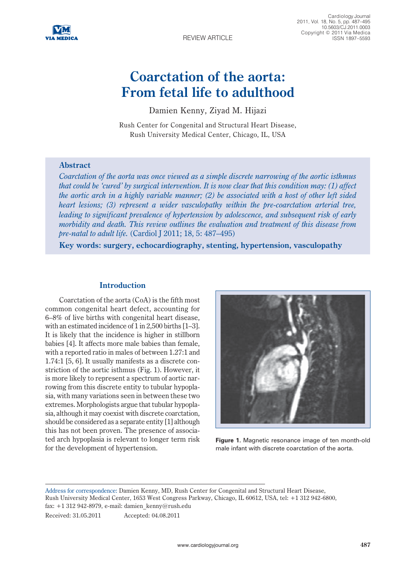# **Coarctation of the aorta: From fetal life to adulthood**

Damien Kenny, Ziyad M. Hijazi

Rush Center for Congenital and Structural Heart Disease, Rush University Medical Center, Chicago, IL, USA

# **Abstract**

*Coarctation of the aorta was once viewed as a simple discrete narrowing of the aortic isthmus that could be 'cured' by surgical intervention. It is now clear that this condition may: (1) affect the aortic arch in a highly variable manner; (2) be associated with a host of other left sided heart lesions; (3) represent a wider vasculopathy within the pre-coarctation arterial tree, leading to significant prevalence of hypertension by adolescence, and subsequent risk of early morbidity and death. This review outlines the evaluation and treatment of this disease from pre-natal to adult life.* (Cardiol J 2011; 18, 5: 487–495)

**Key words: surgery, echocardiography, stenting, hypertension, vasculopathy**

# **Introduction**

Coarctation of the aorta (CoA) is the fifth most common congenital heart defect, accounting for 6–8% of live births with congenital heart disease, with an estimated incidence of 1 in 2,500 births [1–3]. It is likely that the incidence is higher in stillborn babies [4]. It affects more male babies than female, with a reported ratio in males of between 1.27:1 and 1.74:1 [5, 6]. It usually manifests as a discrete constriction of the aortic isthmus (Fig. 1). However, it is more likely to represent a spectrum of aortic narrowing from this discrete entity to tubular hypoplasia, with many variations seen in between these two extremes. Morphologists argue that tubular hypoplasia, although it may coexist with discrete coarctation, should be considered as a separate entity [1] although this has not been proven. The presence of associated arch hypoplasia is relevant to longer term risk for the development of hypertension.



**Figure 1.** Magnetic resonance image of ten month-old male infant with discrete coarctation of the aorta.

Address for correspondence: Damien Kenny, MD, Rush Center for Congenital and Structural Heart Disease, Rush University Medical Center, 1653 West Congress Parkway, Chicago, IL 60612, USA, tel: +1 312 942-6800, fax: +1 312 942-8979, e-mail: damien\_kenny@rush.edu Received: 31.05.2011 Accepted: 04.08.2011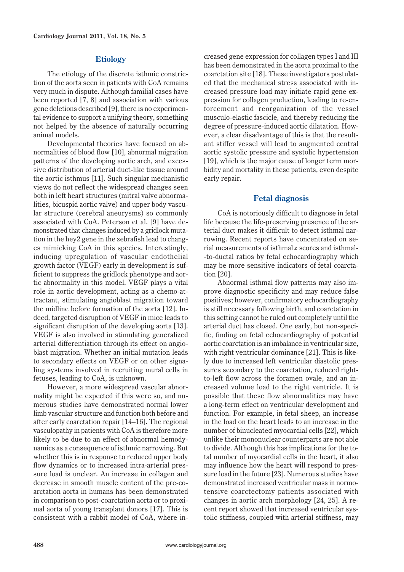## **Etiology**

The etiology of the discrete isthmic constriction of the aorta seen in patients with CoA remains very much in dispute. Although familial cases have been reported [7, 8] and association with various gene deletions described [9], there is no experimental evidence to support a unifying theory, something not helped by the absence of naturally occurring animal models.

Developmental theories have focused on abnormalities of blood flow [10], abnormal migration patterns of the developing aortic arch, and excessive distribution of arterial duct-like tissue around the aortic isthmus [11]. Such singular mechanistic views do not reflect the widespread changes seen both in left heart structures (mitral valve abnormalities, bicuspid aortic valve) and upper body vascular structure (cerebral aneurysms) so commonly associated with CoA. Peterson et al. [9] have demonstrated that changes induced by a gridlock mutation in the hey2 gene in the zebrafish lead to changes mimicking CoA in this species. Interestingly, inducing upregulation of vascular endothelial growth factor (VEGF) early in development is sufficient to suppress the gridlock phenotype and aortic abnormality in this model. VEGF plays a vital role in aortic development, acting as a chemo-attractant, stimulating angioblast migration toward the midline before formation of the aorta [12]. Indeed, targeted disruption of VEGF in mice leads to significant disruption of the developing aorta [13]. VEGF is also involved in stimulating generalized arterial differentiation through its effect on angioblast migration. Whether an initial mutation leads to secondary effects on VEGF or on other signaling systems involved in recruiting mural cells in fetuses, leading to CoA, is unknown.

However, a more widespread vascular abnormality might be expected if this were so, and numerous studies have demonstrated normal lower limb vascular structure and function both before and after early coarctation repair [14–16]. The regional vasculopathy in patients with CoA is therefore more likely to be due to an effect of abnormal hemodynamics as a consequence of isthmic narrowing. But whether this is in response to reduced upper body flow dynamics or to increased intra-arterial pressure load is unclear. An increase in collagen and decrease in smooth muscle content of the pre-coarctation aorta in humans has been demonstrated in comparison to post-coarctation aorta or to proximal aorta of young transplant donors [17]. This is consistent with a rabbit model of CoA, where in-

creased gene expression for collagen types I and III has been demonstrated in the aorta proximal to the coarctation site [18]. These investigators postulated that the mechanical stress associated with increased pressure load may initiate rapid gene expression for collagen production, leading to re-enforcement and reorganization of the vessel musculo-elastic fascicle, and thereby reducing the degree of pressure-induced aortic dilatation. However, a clear disadvantage of this is that the resultant stiffer vessel will lead to augmented central aortic systolic pressure and systolic hypertension [19], which is the major cause of longer term morbidity and mortality in these patients, even despite early repair.

## **Fetal diagnosis**

CoA is notoriously difficult to diagnose in fetal life because the life-preserving presence of the arterial duct makes it difficult to detect isthmal narrowing. Recent reports have concentrated on serial measurements of isthmal *z* scores and isthmal- -to-ductal ratios by fetal echocardiography which may be more sensitive indicators of fetal coarctation [20].

Abnormal isthmal flow patterns may also improve diagnostic specificity and may reduce false positives; however, confirmatory echocardiography is still necessary following birth, and coarctation in this setting cannot be ruled out completely until the arterial duct has closed. One early, but non-specific, finding on fetal echocardiography of potential aortic coarctation is an imbalance in ventricular size, with right ventricular dominance [21]. This is likely due to increased left ventricular diastolic pressures secondary to the coarctation, reduced rightto-left flow across the foramen ovale, and an increased volume load to the right ventricle. It is possible that these flow abnormalities may have a long-term effect on ventricular development and function. For example, in fetal sheep, an increase in the load on the heart leads to an increase in the number of binucleated myocardial cells [22], which unlike their mononuclear counterparts are not able to divide. Although this has implications for the total number of myocardial cells in the heart, it also may influence how the heart will respond to pressure load in the future [23]. Numerous studies have demonstrated increased ventricular mass in normotensive coarctectomy patients associated with changes in aortic arch morphology [24, 25]. A recent report showed that increased ventricular systolic stiffness, coupled with arterial stiffness, may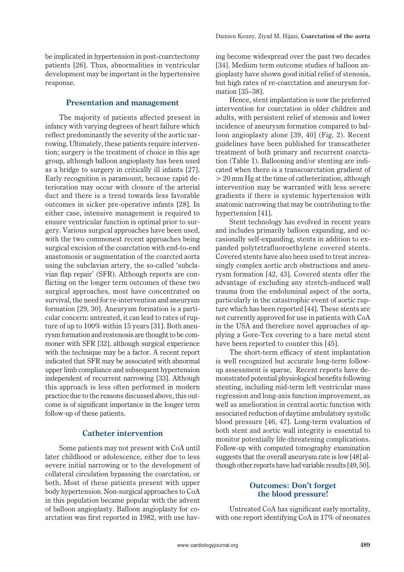be implicated in hypertension in post-coarctectomy patients [26]. Thus, abnormalities in ventricular development may be important in the hypertensive response.

## **Presentation and management**

The majority of patients affected present in infancy with varying degrees of heart failure which reflect predominantly the severity of the aortic narrowing. Ultimately, these patients require intervention; surgery is the treatment of choice in this age group, although balloon angioplasty has been used as a bridge to surgery in critically ill infants [27]. Early recognition is paramount, because rapid deterioration may occur with closure of the arterial duct and there is a trend towards less favorable outcomes in sicker pre-operative infants [28]. In either case, intensive management is required to ensure ventricular function is optimal prior to surgery. Various surgical approaches have been used, with the two commonest recent approaches being surgical excision of the coarctation with end-to-end anastomosis or augmentation of the coarcted aorta using the subclavian artery, the so-called 'subclavian flap repair' (SFR). Although reports are conflicting on the longer term outcomes of these two surgical approaches, most have concentrated on survival, the need for re-intervention and aneurysm formation [29, 30]. Aneurysm formation is a particular concern: untreated, it can lead to rates of rupture of up to 100% within 15 years [31]. Both aneurysm formation and restenosis are thought to be commoner with SFR [32], although surgical experience with the technique may be a factor. A recent report indicated that SFR may be associated with abnormal upper limb compliance and subsequent hypertension independent of recurrent narrowing [33]. Although this approach is less often performed in modern practice due to the reasons discussed above, this outcome is of significant importance in the longer term follow-up of these patients.

## **Catheter intervention**

Some patients may not present with CoA until later childhood or adolescence, either due to less severe initial narrowing or to the development of collateral circulation bypassing the coarctation, or both. Most of these patients present with upper body hypertension. Non-surgical approaches to CoA in this population became popular with the advent of balloon angioplasty. Balloon angioplasty for coarctation was first reported in 1982, with use having become widespread over the past two decades [34]. Medium term outcome studies of balloon angioplasty have shown good initial relief of stenosis, but high rates of re-coarctation and aneurysm formation [35–38].

Hence, stent implantation is now the preferred intervention for coarctation in older children and adults, with persistent relief of stenosis and lower incidence of aneurysm formation compared to balloon angioplasty alone [39, 40] (Fig. 2). Recent guidelines have been published for transcatheter treatment of both primary and recurrent coarctation (Table 1). Ballooning and/or stenting are indicated when there is a transcoarctation gradient of > 20 mm Hg at the time of catheterization, although intervention may be warranted with less severe gradients if there is systemic hypertension with anatomic narrowing that may be contributing to the hypertension [41].

Stent technology has evolved in recent years and includes primarily balloon expanding, and occasionally self-expanding, stents in addition to expanded polytetrafluoroethylene covered stents. Covered stents have also been used to treat increasingly complex aortic arch obstructions and aneurysm formation [42, 43]. Covered stents offer the advantage of excluding any stretch-induced wall trauma from the endoluminal aspect of the aorta, particularly in the catastrophic event of aortic rupture which has been reported [44]. These stents are not currently approved for use in patients with CoA in the USA and therefore novel approaches of applying a Gore-Tex covering to a bare metal stent have been reported to counter this [45].

The short-term efficacy of stent implantation is well recognized but accurate long-term followup assessment is sparse. Recent reports have demonstrated potential physiological benefits following stenting, including mid-term left ventricular mass regression and long-axis function improvement, as well as amelioration in central aortic function with associated reduction of daytime ambulatory systolic blood pressure [46, 47]. Long-term evaluation of both stent and aortic wall integrity is essential to monitor potentially life-threatening complications. Follow-up with computed tomography examination suggests that the overall aneurysm rate is low [48] although other reports have had variable results [49, 50].

## **Outcomes: Don't forget the blood pressure!**

Untreated CoA has significant early mortality, with one report identifying CoA in 17% of neonates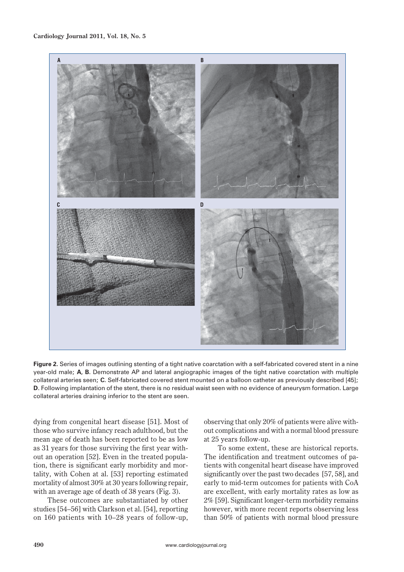

**Figure 2.** Series of images outlining stenting of a tight native coarctation with a self-fabricated covered stent in a nine year-old male; **A**, **B**. Demonstrate AP and lateral angiographic images of the tight native coarctation with multiple collateral arteries seen; **C**. Self-fabricated covered stent mounted on a balloon catheter as previously described [45]; **D**. Following implantation of the stent, there is no residual waist seen with no evidence of aneurysm formation. Large collateral arteries draining inferior to the stent are seen.

dying from congenital heart disease [51]. Most of those who survive infancy reach adulthood, but the mean age of death has been reported to be as low as 31 years for those surviving the first year without an operation [52]. Even in the treated population, there is significant early morbidity and mortality, with Cohen at al. [53] reporting estimated mortality of almost 30% at 30 years following repair, with an average age of death of 38 years (Fig. 3).

These outcomes are substantiated by other studies [54–56] with Clarkson et al. [54], reporting on 160 patients with 10–28 years of follow-up, observing that only 20% of patients were alive without complications and with a normal blood pressure at 25 years follow-up.

To some extent, these are historical reports. The identification and treatment outcomes of patients with congenital heart disease have improved significantly over the past two decades [57, 58], and early to mid-term outcomes for patients with CoA are excellent, with early mortality rates as low as 2% [59]. Significant longer-term morbidity remains however, with more recent reports observing less than 50% of patients with normal blood pressure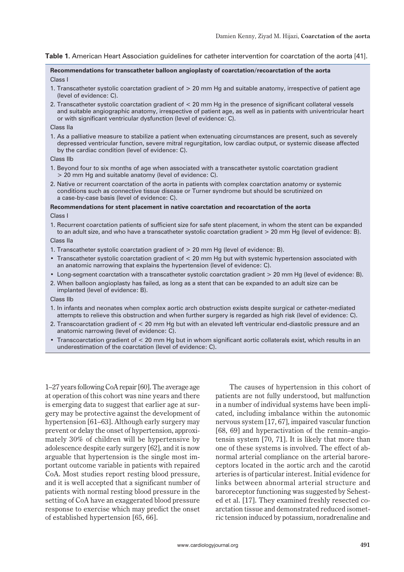**Table 1.** American Heart Association guidelines for catheter intervention for coarctation of the aorta [41].

#### **Recommendations for transcatheter balloon angioplasty of coarctation/recoarctation of the aorta** Class I

- 1. Transcatheter systolic coarctation gradient of > 20 mm Hg and suitable anatomy, irrespective of patient age (level of evidence: C).
- 2. Transcatheter systolic coarctation gradient of < 20 mm Hg in the presence of significant collateral vessels and suitable angiographic anatomy, irrespective of patient age, as well as in patients with univentricular heart or with significant ventricular dysfunction (level of evidence: C).

#### Class IIa

1. As a palliative measure to stabilize a patient when extenuating circumstances are present, such as severely depressed ventricular function, severe mitral regurgitation, low cardiac output, or systemic disease affected by the cardiac condition (level of evidence: C).

#### Class IIb

- 1. Beyond four to six months of age when associated with a transcatheter systolic coarctation gradient > 20 mm Hg and suitable anatomy (level of evidence: C).
- 2. Native or recurrent coarctation of the aorta in patients with complex coarctation anatomy or systemic conditions such as connective tissue disease or Turner syndrome but should be scrutinized on a case-by-case basis (level of evidence: C).

#### **Recommendations for stent placement in native coarctation and recoarctation of the aorta** Class I

1. Recurrent coarctation patients of sufficient size for safe stent placement, in whom the stent can be expanded to an adult size, and who have a transcatheter systolic coarctation gradient > 20 mm Hg (level of evidence: B).

## Class IIa

- 1. Transcatheter systolic coarctation gradient of > 20 mm Hg (level of evidence: B).
- Transcatheter systolic coarctation gradient of < 20 mm Hg but with systemic hypertension associated with an anatomic narrowing that explains the hypertension (level of evidence: C).
- Long-segment coarctation with a transcatheter systolic coarctation gradient > 20 mm Hg (level of evidence: B).
- 2. When balloon angioplasty has failed, as long as a stent that can be expanded to an adult size can be implanted (level of evidence: B).

Class IIb

- 1. In infants and neonates when complex aortic arch obstruction exists despite surgical or catheter-mediated attempts to relieve this obstruction and when further surgery is regarded as high risk (level of evidence: C).
- 2. Transcoarctation gradient of < 20 mm Hg but with an elevated left ventricular end-diastolic pressure and an anatomic narrowing (level of evidence: C).
- Transcoarctation gradient of < 20 mm Hg but in whom significant aortic collaterals exist, which results in an underestimation of the coarctation (level of evidence: C).

1–27 years following CoA repair [60]. The average age at operation of this cohort was nine years and there is emerging data to suggest that earlier age at surgery may be protective against the development of hypertension [61–63]. Although early surgery may prevent or delay the onset of hypertension, approximately 30% of children will be hypertensive by adolescence despite early surgery [62], and it is now arguable that hypertension is the single most important outcome variable in patients with repaired CoA. Most studies report resting blood pressure, and it is well accepted that a significant number of patients with normal resting blood pressure in the setting of CoA have an exaggerated blood pressure response to exercise which may predict the onset of established hypertension [65, 66].

The causes of hypertension in this cohort of patients are not fully understood, but malfunction in a number of individual systems have been implicated, including imbalance within the autonomic nervous system [17, 67], impaired vascular function [68, 69] and hyperactivation of the rennin–angiotensin system [70, 71]. It is likely that more than one of these systems is involved. The effect of abnormal arterial compliance on the arterial baroreceptors located in the aortic arch and the carotid arteries is of particular interest. Initial evidence for links between abnormal arterial structure and baroreceptor functioning was suggested by Sehested et al. [17]. They examined freshly resected coarctation tissue and demonstrated reduced isometric tension induced by potassium, noradrenaline and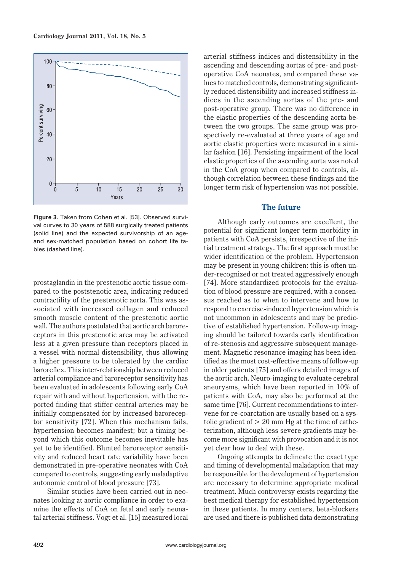

**Figure 3.** Taken from Cohen et al. [53]. Observed survival curves to 30 years of 588 surgically treated patients (solid line) and the expected survivorship of an ageand sex-matched population based on cohort life tables (dashed line).

prostaglandin in the prestenotic aortic tissue compared to the poststenotic area, indicating reduced contractility of the prestenotic aorta. This was associated with increased collagen and reduced smooth muscle content of the prestenotic aortic wall. The authors postulated that aortic arch baroreceptors in this prestenotic area may be activated less at a given pressure than receptors placed in a vessel with normal distensibility, thus allowing a higher pressure to be tolerated by the cardiac baroreflex. This inter-relationship between reduced arterial compliance and baroreceptor sensitivity has been evaluated in adolescents following early CoA repair with and without hypertension, with the reported finding that stiffer central arteries may be initially compensated for by increased baroreceptor sensitivity [72]. When this mechanism fails, hypertension becomes manifest; but a timing beyond which this outcome becomes inevitable has yet to be identified. Blunted baroreceptor sensitivity and reduced heart rate variability have been demonstrated in pre-operative neonates with CoA compared to controls, suggesting early maladaptive autonomic control of blood pressure [73].

Similar studies have been carried out in neonates looking at aortic compliance in order to examine the effects of CoA on fetal and early neonatal arterial stiffness. Vogt et al. [15] measured local arterial stiffness indices and distensibility in the ascending and descending aortas of pre- and postoperative CoA neonates, and compared these values to matched controls, demonstrating significantly reduced distensibility and increased stiffness indices in the ascending aortas of the pre- and post-operative group. There was no difference in the elastic properties of the descending aorta between the two groups. The same group was prospectively re-evaluated at three years of age and aortic elastic properties were measured in a similar fashion [16]. Persisting impairment of the local elastic properties of the ascending aorta was noted in the CoA group when compared to controls, although correlation between these findings and the longer term risk of hypertension was not possible.

## **The future**

Although early outcomes are excellent, the potential for significant longer term morbidity in patients with CoA persists, irrespective of the initial treatment strategy. The first approach must be wider identification of the problem. Hypertension may be present in young children: this is often under-recognized or not treated aggressively enough [74]. More standardized protocols for the evaluation of blood pressure are required, with a consensus reached as to when to intervene and how to respond to exercise-induced hypertension which is not uncommon in adolescents and may be predictive of established hypertension. Follow-up imaging should be tailored towards early identification of re-stenosis and aggressive subsequent management. Magnetic resonance imaging has been identified as the most cost-effective means of follow-up in older patients [75] and offers detailed images of the aortic arch. Neuro-imaging to evaluate cerebral aneurysms, which have been reported in 10% of patients with CoA, may also be performed at the same time [76]. Current recommendations to intervene for re-coarctation are usually based on a systolic gradient of  $> 20$  mm Hg at the time of catheterization, although less severe gradients may become more significant with provocation and it is not yet clear how to deal with these.

Ongoing attempts to delineate the exact type and timing of developmental maladaption that may be responsible for the development of hypertension are necessary to determine appropriate medical treatment. Much controversy exists regarding the best medical therapy for established hypertension in these patients. In many centers, beta-blockers are used and there is published data demonstrating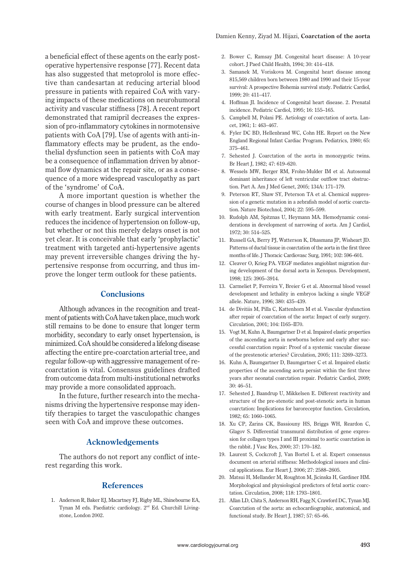a beneficial effect of these agents on the early postoperative hypertensive response [77]. Recent data has also suggested that metoprolol is more effective than candesartan at reducing arterial blood pressure in patients with repaired CoA with varying impacts of these medications on neurohumoral activity and vascular stiffness [78]. A recent report demonstrated that ramipril decreases the expression of pro-inflammatory cytokines in normotensive patients with CoA [79]. Use of agents with anti-inflammatory effects may be prudent, as the endothelial dysfunction seen in patients with CoA may be a consequence of inflammation driven by abnormal flow dynamics at the repair site, or as a consequence of a more widespread vasculopathy as part of the 'syndrome' of CoA.

A more important question is whether the course of changes in blood pressure can be altered with early treatment. Early surgical intervention reduces the incidence of hypertension on follow-up, but whether or not this merely delays onset is not yet clear. It is conceivable that early 'prophylactic' treatment with targeted anti-hypertensive agents may prevent irreversible changes driving the hypertensive response from occurring, and thus improve the longer term outlook for these patients.

## **Conclusions**

Although advances in the recognition and treatment of patients with CoA have taken place, much work still remains to be done to ensure that longer term morbidity, secondary to early onset hypertension, is minimized. CoA should be considered a lifelong disease affecting the entire pre-coarctation arterial tree, and regular follow-up with aggressive management of recoarctation is vital. Consensus guidelines drafted from outcome data from multi-institutional networks may provide a more consolidated approach.

In the future, further research into the mechanisms driving the hypertensive response may identify therapies to target the vasculopathic changes seen with CoA and improve these outcomes.

## **Acknowledgements**

The authors do not report any conflict of interest regarding this work.

## **References**

1. Anderson R, Baker EJ, Macartney FJ, Rigby ML, Shinebourne EA, Tynan M eds. Paediatric cardiology. 2nd Ed. Churchill Livingstone, London 2002.

- 2. Bower C, Ramsay JM. Congenital heart disease: A 10-year cohort. J Paed Child Health, 1994; 30: 414–418.
- 3. Samanek M, Voriskova M. Congenital heart disease among 815,569 children born between 1980 and 1990 and their 15-year survival: A prospective Bohemia survival study. Pediatric Cardiol, 1999; 20: 411–417.
- 4. Hoffman JI. Incidence of Congenital heart disease. 2. Prenatal incidence. Pediatric Cardiol, 1995; 16: 155–165.
- 5. Campbell M, Polani PE. Aetiology of coarctation of aorta. Lancet, 1961; 1: 463–467.
- 6. Fyler DC BD, Hellenbrand WC, Cohn HE. Report on the New England Regional Infant Cardiac Program. Pediatrics, 1980; 65: 375–461.
- 7. Sehested J. Coarctation of the aorta in monozygotic twins. Br Heart J, 1982; 47: 619–620.
- 8. Wessels MW, Berger RM, Frohn-Mulder IM et al. Autosomal dominant inheritance of left ventricular outflow tract obstruction. Part A. Am J Med Genet, 2005; 134A: 171–179.
- Peterson RT, Shaw SY, Peterson TA et al. Chemical suppression of a genetic mutation in a zebrafish model of aortic coarctation. Nature Biotechnol, 2004; 22: 595–599.
- 10. Rudolph AM, Spitznas U, Heymann MA. Hemodynamic considerations in development of narrowing of aorta. Am J Cardiol, 1972; 30: 514–525.
- 11. Russell GA, Berry PJ, Watterson K, Dhasmana JP, Wisheart JD. Patterns of ductal tissue in coarctation of the aorta in the first three months of life. J Thoracic Cardiovasc Surg, 1991; 102: 596–601.
- 12. Cleaver O, Krieg PA. VEGF mediates angioblast migration during development of the dorsal aorta in Xenopus. Development, 1998; 125: 3905–3914.
- 13. Carmeliet P, Ferreira V, Breier G et al. Abnormal blood vessel development and lethality in embryos lacking a single VEGF allele. Nature, 1996; 380: 435–439.
- 14. de Divitiis M, Pilla C, Kattenhorn M et al. Vascular dysfunction after repair of coarctation of the aorta: Impact of early surgery. Circulation, 2001; 104: I165–II70.
- 15. Vogt M, Kuhn A, Baumgartner D et al. Impaired elastic properties of the ascending aorta in newborns before and early after successful coarctation repair: Proof of a systemic vascular disease of the prestenotic arteries? Circulation, 2005; 111: 3269–3273.
- 16. Kuhn A, Baumgartner D, Baumgartner C et al. Impaired elastic properties of the ascending aorta persist within the first three years after neonatal coarctation repair. Pediatric Cardiol, 2009; 30: 46–51.
- 17. Sehested J, Baandrup U, Mikkelsen E. Different reactivity and structure of the pre-stenotic and post-stenotic aorta in human coarctation: Implications for baroreceptor function. Circulation, 1982; 65: 1060–1065.
- 18. Xu CP, Zarins CK, Bassiouny HS, Briggs WH, Reardon C, Glagov S. Differential transmural distribution of gene expression for collagen types I and III proximal to aortic coarctation in the rabbit. J Vasc Res, 2000; 37: 170–182.
- 19. Laurent S, Cockcroft J, Van Bortel L et al. Expert consensus document on arterial stiffness: Methodological issues and clinical applications. Eur Heart J, 2006; 27: 2588–2605.
- 20. Matsui H, Mellander M, Roughton M, Jicinska H, Gardiner HM. Morphological and physiological predictors of fetal aortic coarctation. Circulation, 2008; 118: 1793–1801.
- 21. Allan LD, Chita S, Anderson RH, Fagg N, Crawford DC, Tynan MJ. Coarctation of the aorta: an echocardiographic, anatomical, and functional study. Br Heart J, 1987; 57: 65–66.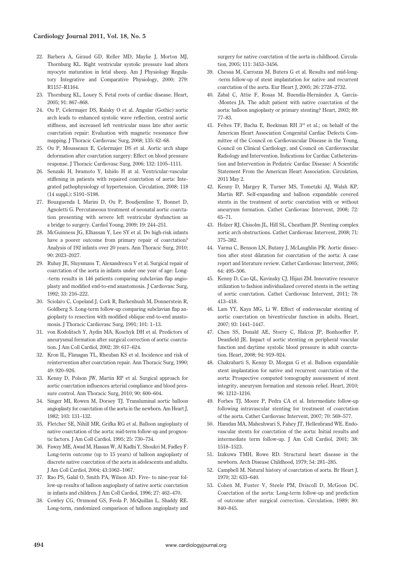- 22. Barbera A, Giraud GD, Reller MD, Maylie J, Morton MJ, Thornburg KL. Right ventricular systolic pressure load alters myocyte maturation in fetal sheep. Am J Physiology Regulatory Integrative and Comparative Physiology, 2000; 279: R1157–R1164.
- 23. Thornburg KL, Louey S. Fetal roots of cardiac disease. Heart, 2005; 91: 867–868.
- 24. Ou P, Celermajer DS, Raisky O et al. Angular (Gothic) aortic arch leads to enhanced systolic wave reflection, central aortic stiffness, and increased left ventricular mass late after aortic coarctation repair: Evaluation with magnetic resonance flow mapping. J Thoracic Cardiovasc Surg, 2008; 135: 62–68.
- 25. Ou P, Mousseaux E, Celermajer DS et al. Aortic arch shape deformation after coarctation surgery: Effect on blood pressure response. J Thoracic Cardiovasc Surg, 2006; 132: 1105–1111.
- 26. Senzaki H, Iwamoto Y, Ishido H at al. Ventricular-vascular stiffening in patients with repaired coarctation of aorta: Integrated pathophysiology of hypertension. Circulation, 2008; 118 (14 suppl.): S191–S198.
- 27. Bouzguenda I, Marini D, Ou P, Boudjemline Y, Bonnet D, Agnoletti G. Percutaneous treatment of neonatal aortic coarctation presenting with severe left ventricular dysfunction as a bridge to surgery. Cardiol Young, 2009; 19: 244–251.
- 28. McGuinness JG, Elhassan Y, Lee SY et al. Do high-risk infants have a poorer outcome from primary repair of coarctation? Analysis of 192 infants over 20 years. Ann Thoracic Surg, 2010; 90: 2023–2027.
- 29. Rubay JE, Sluysmans T, Alexandrescu V et al. Surgical repair of coarctation of the aorta in infants under one year of age: Long- -term results in 146 patients comparing subclavian flap angioplasty and modified end-to-end anastomosis. J Cardiovasc Surg, 1992; 33: 216–222.
- 30. Sciolaro C, Copeland J, Cork R, Barkenbush M, Donnerstein R, Goldberg S. Long-term follow-up comparing subclavian flap angioplasty to resection with modified oblique end-to-end anastomosis. J Thoracic Cardiovasc Surg, 1991; 101: 1–13.
- 31. von Kodolitsch Y, Aydin MA, Koschyk DH et al. Predictors of aneurysmal formation after surgical correction of aortic coarctation. J Am Coll Cardiol, 2002; 39: 617–624.
- 32. Kron IL, Flanagan TL, Rheuban KS et al. Incidence and risk of reintervention after coarctation repair. Ann Thoracic Surg, 1990; 49: 920–926.
- 33. Kenny D, Polson JW, Martin RP et al. Surgical approach for aortic coarctation influences arterial compliance and blood pressure control. Ann Thoracic Surg, 2010; 90: 600–604.
- 34. Singer MI, Rowen M, Dorsey TJ. Transluminal aortic balloon angioplasty for coarctation of the aorta in the newborn. Am Heart J, 1982; 103: 131–132.
- 35. Fletcher SE, Nihill MR, Grifka RG et al. Balloon angioplasty of native coarctation of the aorta: mid-term follow-up and prognostic factors. J Am Coll Cardiol, 1995; 25: 730–734.
- 36. Fawzy ME, Awad M, Hassan W, Al Kadhi Y, Shoukri M, Fadley F. Long-term outcome (up to 15 years) of balloon angioplasty of discrete native coarctation of the aorta in adolescents and adults. J Am Coll Cardiol, 2004; 43:1062–1067.
- 37. Rao PS, Galal O, Smith PA, Wilson AD. Five- to nine-year follow-up results of balloon angioplasty of native aortic coarctation in infants and children. J Am Coll Cardiol, 1996; 27: 462–470.
- 38. Cowley CG, Orsmond GS, Feola P, McQuillan L, Shaddy RE. Long-term, randomized comparison of balloon angioplasty and

surgery for native coarctation of the aorta in childhood. Circulation, 2005; 111: 3453–3456.

- 39. Chessa M, Carrozza M, Butera G et al. Results and mid-long- -term follow-up of stent implantation for native and recurrent coarctation of the aorta. Eur Heart J, 2005; 26: 2728–2732.
- 40. Zabal C, Attie F, Rosas M, Buendía-Hernández A, García- -Montes JA. The adult patient with native coarctation of the aorta: balloon angioplasty or primary stenting? Heart, 2003; 89: 77–83.
- 41. Feltes TF, Bacha E, Beekman RH 3<sup>rd</sup> et al.; on behalf of the American Heart Association Congenital Cardiac Defects Committee of the Council on Cardiovascular Disease in the Young, Council on Clinical Cardiology, and Council on Cardiovascular Radiology and Intervention. Indications for Cardiac Catheterization and Intervention in Pediatric Cardiac Disease: A Scientific Statement From the American Heart Association. Circulation, 2011 May 2.
- 42. Kenny D, Margey R, Turner MS, Tometzki AJ, Walsh KP, Martin RP. Self-expanding and balloon expandable covered stents in the treatment of aortic coarctation with or without aneurysm formation. Cathet Cardiovasc Intervent, 2008; 72: 65–71.
- 43. Holzer RJ, Chisolm JL, Hill SL, Cheatham JP. Stenting complex aortic arch obstructions. Cathet Cardiovasc Intervent, 2008; 71: 375–382.
- 44. Varma C, Benson LN, Butany J, McLaughlin PR. Aortic dissection after stent dilatation for coarctation of the aorta: A case report and literature review. Cathet Cardiovasc Intervent, 2005; 64: 495–506.
- 45. Kenny D, Cao QL, Kavinsky CJ, Hijazi ZM. Innovative resource utilization to fashion individualized covered stents in the setting of aortic coarctation. Cathet Cardiovasc Intervent, 2011; 78: 413–418.
- 46. Lam YY, Kaya MG, Li W. Effect of endovascular stenting of aortic coarctation on biventricular function in adults. Heart, 2007; 93: 1441–1447.
- 47. Chen SS, Donald AE, Storry C, Halcox JP, Bonhoeffer P, Deanfield JE. Impact of aortic stenting on peripheral vascular function and daytime systolic blood pressure in adult coarctation. Heart, 2008; 94: 919–924.
- 48. Chakrabarti S, Kenny D, Morgan G et al. Balloon expandable stent implantation for native and recurrent coarctation of the aorta: Prospective computed tomography assessment of stent integrity, aneurysm formation and stenosis relief. Heart, 2010; 96: 1212–1216.
- 49. Forbes TJ, Moore P, Pedra CA et al. Intermediate follow-up following intravascular stenting for treatment of coarctation of the aorta. Cathet Cardiovasc Intervent, 2007; 70: 569–577.
- 50. Hamdan MA, Maheshwari S, Fahey JT, Hellenbrand WE. Endovascular stents for coarctation of the aorta: Initial results and intermediate term follow-up. J Am Coll Cardiol, 2001; 38: 1518–1523.
- 51. Izakuwa TMH, Rowe RD. Structural heart disease in the newborn. Arch Disease Childhood, 1979; 54: 281–285.
- 52. Campbell M. Natural history of coarctation of aorta. Br Heart J, 1970; 32: 633–640.
- 53. Cohen M, Fuster V, Steele PM, Driscoll D, McGoon DC. Coarctation of the aorta: Long-term follow-up and prediction of outcome after surgical correction. Circulation, 1989; 80: 840–845.